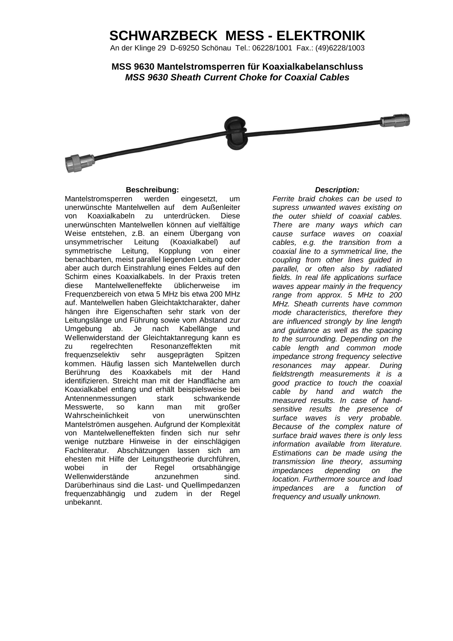## **SCHWARZBECK MESS - ELEKTRONIK**

An der Klinge 29 D-69250 Schönau Tel.: 06228/1001 Fax.: (49)6228/1003

**MSS 9630 Mantelstromsperren für Koaxialkabelanschluss MSS 9630 Sheath Current Choke for Coaxial Cables**



## **Beschreibung: Description:**

Mantelstromsperren werden eingesetzt, um unerwünschte Mantelwellen auf dem Außenleiter von Koaxialkabeln zu unterdrücken. Diese unerwünschten Mantelwellen können auf vielfältige Weise entstehen, z.B. an einem Übergang von unsymmetrischer Leitung (Koaxialkabel) auf symmetrische Leitung, Kopplung von einer benachbarten, meist parallel liegenden Leitung oder aber auch durch Einstrahlung eines Feldes auf den Schirm eines Koaxialkabels. In der Praxis treten diese Mantelwelleneffekte üblicherweise im Frequenzbereich von etwa 5 MHz bis etwa 200 MHz auf. Mantelwellen haben Gleichtaktcharakter, daher hängen ihre Eigenschaften sehr stark von der Leitungslänge und Führung sowie vom Abstand zur Umgebung ab. Je nach Kabellänge und Wellenwiderstand der Gleichtaktanregung kann es zu regelrechten Resonanzeffekten mit frequenzselektiv sehr ausgeprägten Spitzen kommen. Häufig lassen sich Mantelwellen durch Berührung des Koaxkabels mit der Hand identifizieren. Streicht man mit der Handfläche am Koaxialkabel entlang und erhält beispielsweise bei Antennenmessungen stark schwankende<br>Messwerte, so kann man mit großer Messwerte, so kann man mit großer Wahrscheinlichkeit von unerwünschten Mantelströmen ausgehen. Aufgrund der Komplexität von Mantelwelleneffekten finden sich nur sehr wenige nutzbare Hinweise in der einschlägigen Fachliteratur. Abschätzungen lassen sich am ehesten mit Hilfe der Leitungstheorie durchführen, wobei in der Regel ortsabhängige Wellenwiderstände anzunehmen sind. Darüberhinaus sind die Last- und Quellimpedanzen frequenzabhängig und zudem in der Regel unbekannt.

Ferrite braid chokes can be used to supress unwanted waves existing on the outer shield of coaxial cables. There are many ways which can cause surface waves on coaxial cables, e.g. the transition from a coaxial line to a symmetrical line, the coupling from other lines guided in parallel, or often also by radiated fields. In real life applications surface waves appear mainly in the frequency range from approx. 5 MHz to 200 MHz. Sheath currents have common mode characteristics, therefore they are influenced strongly by line length and guidance as well as the spacing to the surrounding. Depending on the cable length and common mode impedance strong frequency selective resonances may appear. During fieldstrength measurements it is a good practice to touch the coaxial cable by hand and watch the measured results. In case of handsensitive results the presence of surface waves is very probable. Because of the complex nature of surface braid waves there is only less information available from literature. Estimations can be made using the transmission line theory, assuming impedances depending on the location. Furthermore source and load impedances are a function of frequency and usually unknown.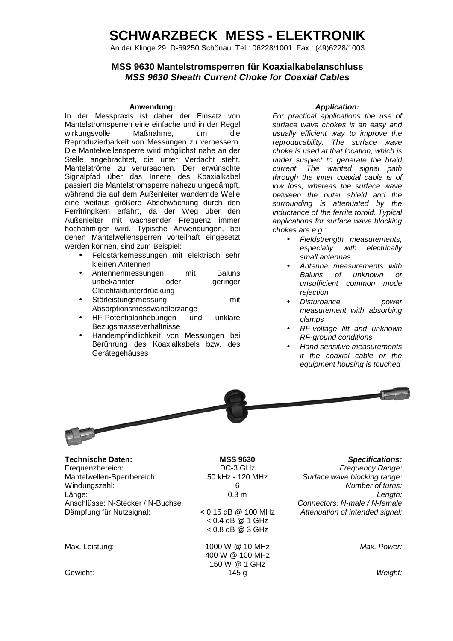# **SCHWARZBECK MESS - ELEKTRONIK**

An der Klinge 29 D-69250 Schönau Tel.: 06228/1001 Fax.: (49)6228/1003

## **MSS 9630 Mantelstromsperren für Koaxialkabelanschluss MSS 9630 Sheath Current Choke for Coaxial Cables**

## Anwendung: **Anwendung: Application:** *Application:*

In der Messpraxis ist daher der Einsatz von Mantelstromsperren eine einfache und in der Regel<br>wirkungsvolle Maßnahme. um die wirkungsvolle Maßnahme, um die Reproduzierbarkeit von Messungen zu verbessern. Die Mantelwellensperre wird möglichst nahe an der Stelle angebrachtet, die unter Verdacht steht, Mantelströme zu verursachen. Der erwünschte Signalpfad über das Innere des Koaxialkabel passiert die Mantelstromsperre nahezu ungedämpft, während die auf dem Außenleiter wandernde Welle eine weitaus größere Abschwächung durch den Ferritringkern erfährt, da der Weg über den Außenleiter mit wachsender Frequenz immer hochohmiger wird. Typische Anwendungen, bei denen Mantelwellensperren vorteilhaft eingesetzt werden können, sind zum Beispiel:

- Feldstärkemessungen mit elektrisch sehr kleinen Antennen
- Antennenmessungen mit Baluns unbekannter oder geringer Gleichtaktunterdrückung
- Störleistungsmessung mit Absorptionsmesswandlerzange
- HF-Potentialanhebungen und unklare Bezugsmasseverhältnisse
- Handempfindlichkeit von Messungen bei Berührung des Koaxialkabels bzw. des Gerätegehäuses

For practical applications the use of surface wave chokes is an easy and usually efficient way to improve the reproducability. The surface wave choke is used at that location, which is under suspect to generate the braid current. The wanted signal path through the inner coaxial cable is of low loss, whereas the surface wave between the outer shield and the surrounding is attenuated by the inductance of the ferrite toroid. Typical applications for surface wave blocking chokes are e.g.:

- Fieldstrength measurements, especially with electrically small antennas
- Antenna measurements with Baluns of unknown or unsufficient common mode rejection
- Disturbance power measurement with absorbing clamps
- RF-voltage lift and unknown RF-ground conditions
- Hand sensitive measurements if the coaxial cable or the equipment housing is touched



**Technische Daten: MSS 9630 Specifications:** Frequenzbereich: DC-3 GHz Frequency Range: DC-3 GHz Frequency Range: Mantelwellen-Sperrbereich: 50 kHz - 120 MHz Surface wave blocking range: Windungszahl: 6 0.3 m 6 0.3 m b 0.3 m c hadden hadden hadden hadden hadden hadden hadden hadden hadden hadden h<br>Congth: 1.6 m c hadden hadden hadden hadden hadden hadden hadden hadden hadden hadden hadden hadden hadden had Länge: 0.3 m Length: Anschlüsse: N-Stecker / N-Buchse Connectors: N-male / N-female / N-female Dämpfung für Nutzsignal: < 0.15 dB @ 100 MHz

< 0.4 dB @ 1 GHz < 0.8 dB @ 3 GHz

Max. Leistung: 1000 W @ 10 MHz 400 W @ 100 MHz 150 W @ 1 GHz Gewicht: 145 g Weight:

Attenuation of intended signal:

Max. Power: